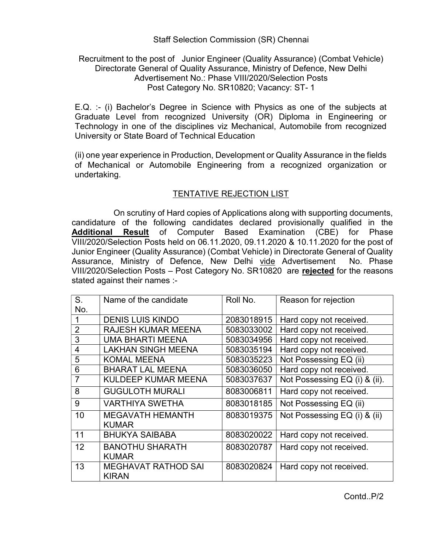## Staff Selection Commission (SR) Chennai

## Recruitment to the post of Junior Engineer (Quality Assurance) (Combat Vehicle) Directorate General of Quality Assurance, Ministry of Defence, New Delhi Advertisement No.: Phase VIII/2020/Selection Posts Post Category No. SR10820; Vacancy: ST- 1

E.Q. :- (i) Bachelor's Degree in Science with Physics as one of the subjects at Graduate Level from recognized University (OR) Diploma in Engineering or Technology in one of the disciplines viz Mechanical, Automobile from recognized University or State Board of Technical Education

(ii) one year experience in Production, Development or Quality Assurance in the fields of Mechanical or Automobile Engineering from a recognized organization or undertaking.

## TENTATIVE REJECTION LIST

 On scrutiny of Hard copies of Applications along with supporting documents, candidature of the following candidates declared provisionally qualified in the Additional Result of Computer Based Examination (CBE) for Phase VIII/2020/Selection Posts held on 06.11.2020, 09.11.2020 & 10.11.2020 for the post of Junior Engineer (Quality Assurance) (Combat Vehicle) in Directorate General of Quality Assurance, Ministry of Defence, New Delhi vide Advertisement No. Phase VIII/2020/Selection Posts – Post Category No. SR10820 are rejected for the reasons stated against their names :-

| S.             | Name of the candidate                      | Roll No.   | Reason for rejection          |
|----------------|--------------------------------------------|------------|-------------------------------|
| No.            |                                            |            |                               |
|                | <b>DENIS LUIS KINDO</b>                    | 2083018915 | Hard copy not received.       |
| $\overline{2}$ | <b>RAJESH KUMAR MEENA</b>                  | 5083033002 | Hard copy not received.       |
| 3              | <b>UMA BHARTI MEENA</b>                    | 5083034956 | Hard copy not received.       |
| $\overline{4}$ | <b>LAKHAN SINGH MEENA</b>                  | 5083035194 | Hard copy not received.       |
| 5              | <b>KOMAL MEENA</b>                         | 5083035223 | Not Possessing EQ (ii)        |
| 6              | <b>BHARAT LAL MEENA</b>                    | 5083036050 | Hard copy not received.       |
| $\overline{7}$ | <b>KULDEEP KUMAR MEENA</b>                 | 5083037637 | Not Possessing EQ (i) & (ii). |
| 8              | <b>GUGULOTH MURALI</b>                     | 8083006811 | Hard copy not received.       |
| 9              | <b>VARTHIYA SWETHA</b>                     | 8083018185 | Not Possessing EQ (ii)        |
| 10             | <b>MEGAVATH HEMANTH</b>                    | 8083019375 | Not Possessing EQ (i) & (ii)  |
|                | <b>KUMAR</b>                               |            |                               |
| 11             | <b>BHUKYA SAIBABA</b>                      | 8083020022 | Hard copy not received.       |
| 12             | <b>BANOTHU SHARATH</b>                     | 8083020787 | Hard copy not received.       |
|                | <b>KUMAR</b>                               |            |                               |
| 13             | <b>MEGHAVAT RATHOD SAI</b><br><b>KIRAN</b> | 8083020824 | Hard copy not received.       |